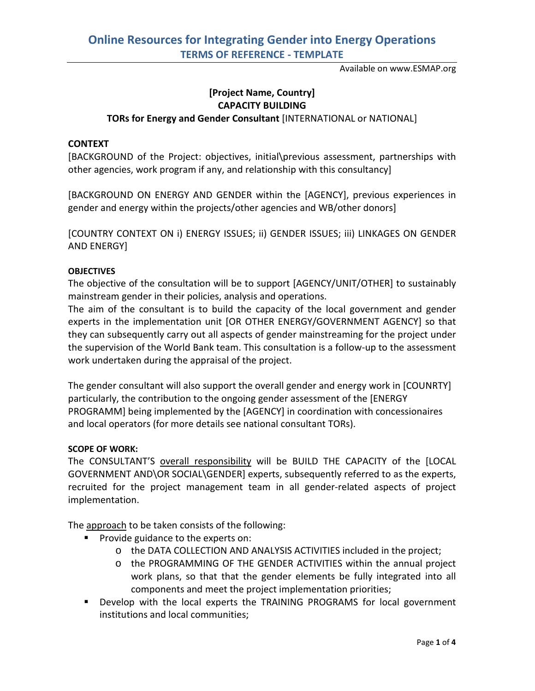Available on www.ESMAP.org

## **[Project Name, Country] CAPACITY BUILDING TORs for Energy and Gender Consultant** [INTERNATIONAL or NATIONAL]

## **CONTEXT**

[BACKGROUND of the Project: objectives, initial\previous assessment, partnerships with other agencies, work program if any, and relationship with this consultancy]

[BACKGROUND ON ENERGY AND GENDER within the [AGENCY], previous experiences in gender and energy within the projects/other agencies and WB/other donors]

[COUNTRY CONTEXT ON i) ENERGY ISSUES; ii) GENDER ISSUES; iii) LINKAGES ON GENDER AND ENERGY]

## **OBJECTIVES**

The objective of the consultation will be to support [AGENCY/UNIT/OTHER] to sustainably mainstream gender in their policies, analysis and operations.

The aim of the consultant is to build the capacity of the local government and gender experts in the implementation unit [OR OTHER ENERGY/GOVERNMENT AGENCY] so that they can subsequently carry out all aspects of gender mainstreaming for the project under the supervision of the World Bank team. This consultation is a follow-up to the assessment work undertaken during the appraisal of the project.

The gender consultant will also support the overall gender and energy work in [COUNRTY] particularly, the contribution to the ongoing gender assessment of the [ENERGY PROGRAMM] being implemented by the [AGENCY] in coordination with concessionaires and local operators (for more details see national consultant TORs).

## **SCOPE OF WORK:**

The CONSULTANT'S overall responsibility will be BUILD THE CAPACITY of the [LOCAL GOVERNMENT AND\OR SOCIAL\GENDER] experts, subsequently referred to as the experts, recruited for the project management team in all gender-related aspects of project implementation.

The approach to be taken consists of the following:

- **Provide guidance to the experts on:** 
	- o the DATA COLLECTION AND ANALYSIS ACTIVITIES included in the project;
	- o the PROGRAMMING OF THE GENDER ACTIVITIES within the annual project work plans, so that that the gender elements be fully integrated into all components and meet the project implementation priorities;
- **Develop with the local experts the TRAINING PROGRAMS for local government** institutions and local communities;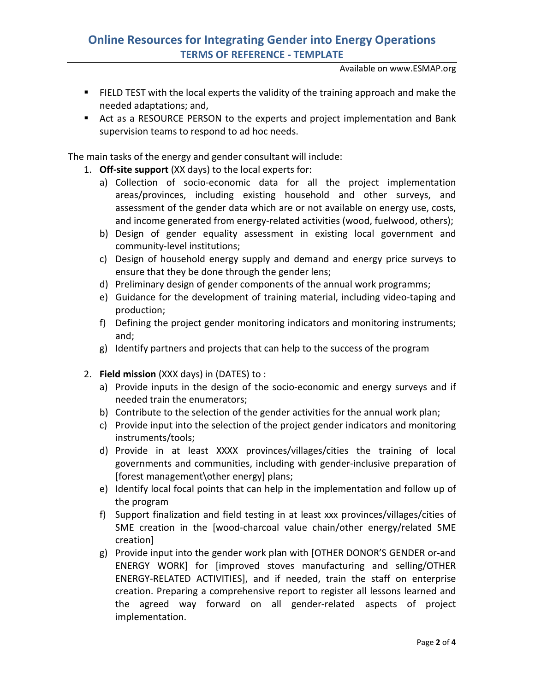# **Online Resources for Integrating Gender into Energy Operations TERMS OF REFERENCE - TEMPLATE**

Available on www.ESMAP.org

- FIELD TEST with the local experts the validity of the training approach and make the needed adaptations; and,
- Act as a RESOURCE PERSON to the experts and project implementation and Bank supervision teams to respond to ad hoc needs.

The main tasks of the energy and gender consultant will include:

- 1. **Off-site support** (XX days) to the local experts for:
	- a) Collection of socio-economic data for all the project implementation areas/provinces, including existing household and other surveys, and assessment of the gender data which are or not available on energy use, costs, and income generated from energy-related activities (wood, fuelwood, others);
	- b) Design of gender equality assessment in existing local government and community-level institutions;
	- c) Design of household energy supply and demand and energy price surveys to ensure that they be done through the gender lens;
	- d) Preliminary design of gender components of the annual work programms;
	- e) Guidance for the development of training material, including video-taping and production;
	- f) Defining the project gender monitoring indicators and monitoring instruments; and;
	- g) Identify partners and projects that can help to the success of the program
- 2. **Field mission** (XXX days) in (DATES) to :
	- a) Provide inputs in the design of the socio-economic and energy surveys and if needed train the enumerators;
	- b) Contribute to the selection of the gender activities for the annual work plan;
	- c) Provide input into the selection of the project gender indicators and monitoring instruments/tools;
	- d) Provide in at least XXXX provinces/villages/cities the training of local governments and communities, including with gender-inclusive preparation of [forest management\other energy] plans;
	- e) Identify local focal points that can help in the implementation and follow up of the program
	- f) Support finalization and field testing in at least xxx provinces/villages/cities of SME creation in the [wood-charcoal value chain/other energy/related SME creation]
	- g) Provide input into the gender work plan with [OTHER DONOR'S GENDER or-and ENERGY WORK] for [improved stoves manufacturing and selling/OTHER ENERGY-RELATED ACTIVITIES], and if needed, train the staff on enterprise creation. Preparing a comprehensive report to register all lessons learned and the agreed way forward on all gender-related aspects of project implementation.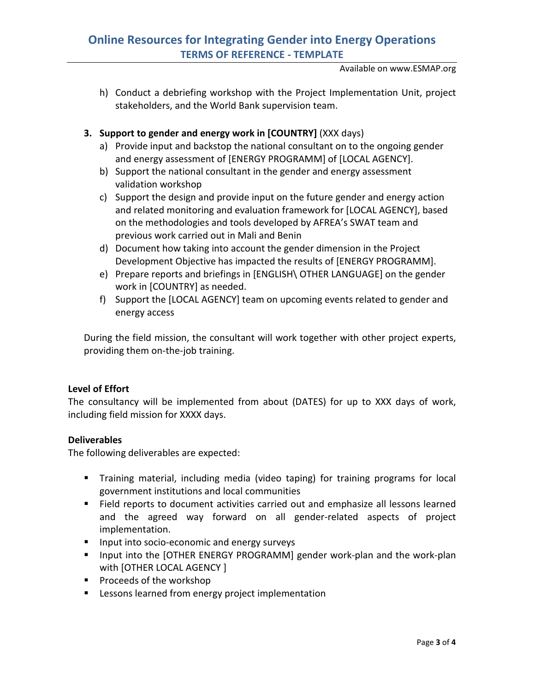# **Online Resources for Integrating Gender into Energy Operations TERMS OF REFERENCE - TEMPLATE**

Available on www.ESMAP.org

h) Conduct a debriefing workshop with the Project Implementation Unit, project stakeholders, and the World Bank supervision team.

## **3. Support to gender and energy work in [COUNTRY]** (XXX days)

- a) Provide input and backstop the national consultant on to the ongoing gender and energy assessment of [ENERGY PROGRAMM] of [LOCAL AGENCY].
- b) Support the national consultant in the gender and energy assessment validation workshop
- c) Support the design and provide input on the future gender and energy action and related monitoring and evaluation framework for [LOCAL AGENCY], based on the methodologies and tools developed by AFREA's SWAT team and previous work carried out in Mali and Benin
- d) Document how taking into account the gender dimension in the Project Development Objective has impacted the results of [ENERGY PROGRAMM].
- e) Prepare reports and briefings in [ENGLISH\ OTHER LANGUAGE] on the gender work in [COUNTRY] as needed.
- f) Support the [LOCAL AGENCY] team on upcoming events related to gender and energy access

During the field mission, the consultant will work together with other project experts, providing them on-the-job training.

## **Level of Effort**

The consultancy will be implemented from about (DATES) for up to XXX days of work, including field mission for XXXX days.

## **Deliverables**

The following deliverables are expected:

- Training material, including media (video taping) for training programs for local government institutions and local communities
- Field reports to document activities carried out and emphasize all lessons learned and the agreed way forward on all gender-related aspects of project implementation.
- **Input into socio-economic and energy surveys**
- **I** Input into the [OTHER ENERGY PROGRAMM] gender work-plan and the work-plan with [OTHER LOCAL AGENCY ]
- **Proceeds of the workshop**
- Lessons learned from energy project implementation